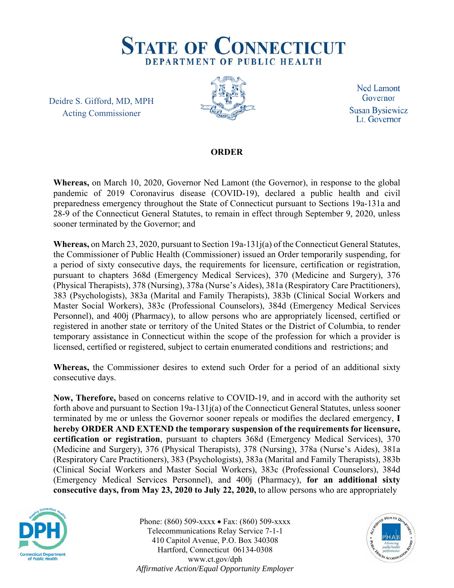

Deidre S. Gifford, MD, MPH Acting Commissioner



**Ned Lamont** Governor **Susan Bysiewicz** Lt. Governor

## **ORDER**

**Whereas,** on March 10, 2020, Governor Ned Lamont (the Governor), in response to the global pandemic of 2019 Coronavirus disease (COVID-19), declared a public health and civil preparedness emergency throughout the State of Connecticut pursuant to Sections 19a-131a and 28-9 of the Connecticut General Statutes, to remain in effect through September 9, 2020, unless sooner terminated by the Governor; and

**Whereas,** on March 23, 2020, pursuant to Section 19a-131j(a) of the Connecticut General Statutes, the Commissioner of Public Health (Commissioner) issued an Order temporarily suspending, for a period of sixty consecutive days, the requirements for licensure, certification or registration, pursuant to chapters 368d (Emergency Medical Services), 370 (Medicine and Surgery), 376 (Physical Therapists), 378 (Nursing), 378a (Nurse's Aides), 381a (Respiratory Care Practitioners), 383 (Psychologists), 383a (Marital and Family Therapists), 383b (Clinical Social Workers and Master Social Workers), 383c (Professional Counselors), 384d (Emergency Medical Services Personnel), and 400j (Pharmacy), to allow persons who are appropriately licensed, certified or registered in another state or territory of the United States or the District of Columbia, to render temporary assistance in Connecticut within the scope of the profession for which a provider is licensed, certified or registered, subject to certain enumerated conditions and restrictions; and

**Whereas,** the Commissioner desires to extend such Order for a period of an additional sixty consecutive days.

**Now, Therefore,** based on concerns relative to COVID-19, and in accord with the authority set forth above and pursuant to Section 19a-131j(a) of the Connecticut General Statutes, unless sooner terminated by me or unless the Governor sooner repeals or modifies the declared emergency, **I hereby ORDER AND EXTEND the temporary suspension of the requirements for licensure, certification or registration**, pursuant to chapters 368d (Emergency Medical Services), 370 (Medicine and Surgery), 376 (Physical Therapists), 378 (Nursing), 378a (Nurse's Aides), 381a (Respiratory Care Practitioners), 383 (Psychologists), 383a (Marital and Family Therapists), 383b (Clinical Social Workers and Master Social Workers), 383c (Professional Counselors), 384d (Emergency Medical Services Personnel), and 400j (Pharmacy), **for an additional sixty consecutive days, from May 23, 2020 to July 22, 2020,** to allow persons who are appropriately



Phone: (860) 509-xxxx • Fax: (860) 509-xxxx Telecommunications Relay Service 7-1-1 410 Capitol Avenue, P.O. Box 340308 Hartford, Connecticut 06134-0308 www.ct.gov/dph *Affirmative Action/Equal Opportunity Employer*